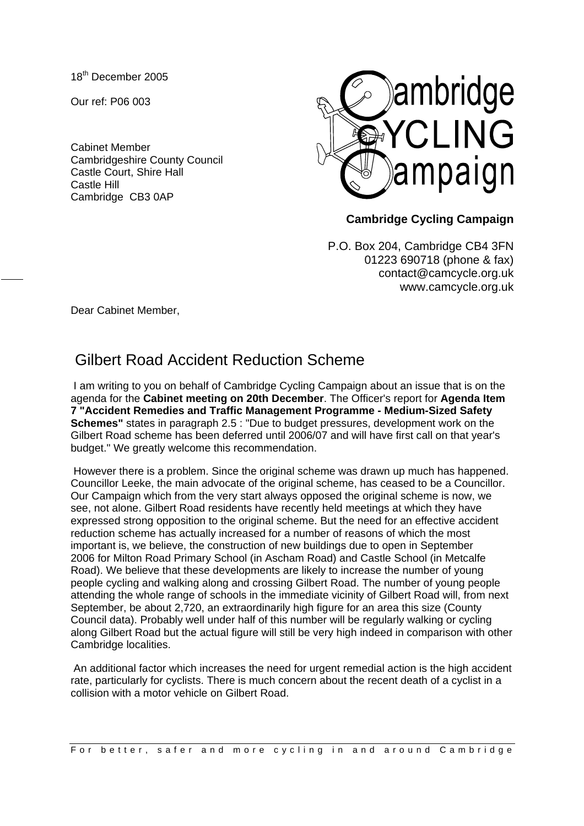18th December 2005

Our ref: P06 003

Cabinet Member Cambridgeshire County Council Castle Court, Shire Hall Castle Hill Cambridge CB3 0AP



## **Cambridge Cycling Campaign**

P.O. Box 204, Cambridge CB4 3FN 01223 690718 (phone & fax) contact@camcycle.org.uk www.camcycle.org.uk

Dear Cabinet Member,

## Gilbert Road Accident Reduction Scheme

 I am writing to you on behalf of Cambridge Cycling Campaign about an issue that is on the agenda for the **Cabinet meeting on 20th December**. The Officer's report for **Agenda Item 7 "Accident Remedies and Traffic Management Programme - Medium-Sized Safety Schemes"** states in paragraph 2.5 : "Due to budget pressures, development work on the Gilbert Road scheme has been deferred until 2006/07 and will have first call on that year's budget." We greatly welcome this recommendation.

 However there is a problem. Since the original scheme was drawn up much has happened. Councillor Leeke, the main advocate of the original scheme, has ceased to be a Councillor. Our Campaign which from the very start always opposed the original scheme is now, we see, not alone. Gilbert Road residents have recently held meetings at which they have expressed strong opposition to the original scheme. But the need for an effective accident reduction scheme has actually increased for a number of reasons of which the most important is, we believe, the construction of new buildings due to open in September 2006 for Milton Road Primary School (in Ascham Road) and Castle School (in Metcalfe Road). We believe that these developments are likely to increase the number of young people cycling and walking along and crossing Gilbert Road. The number of young people attending the whole range of schools in the immediate vicinity of Gilbert Road will, from next September, be about 2,720, an extraordinarily high figure for an area this size (County Council data). Probably well under half of this number will be regularly walking or cycling along Gilbert Road but the actual figure will still be very high indeed in comparison with other Cambridge localities.

 An additional factor which increases the need for urgent remedial action is the high accident rate, particularly for cyclists. There is much concern about the recent death of a cyclist in a collision with a motor vehicle on Gilbert Road.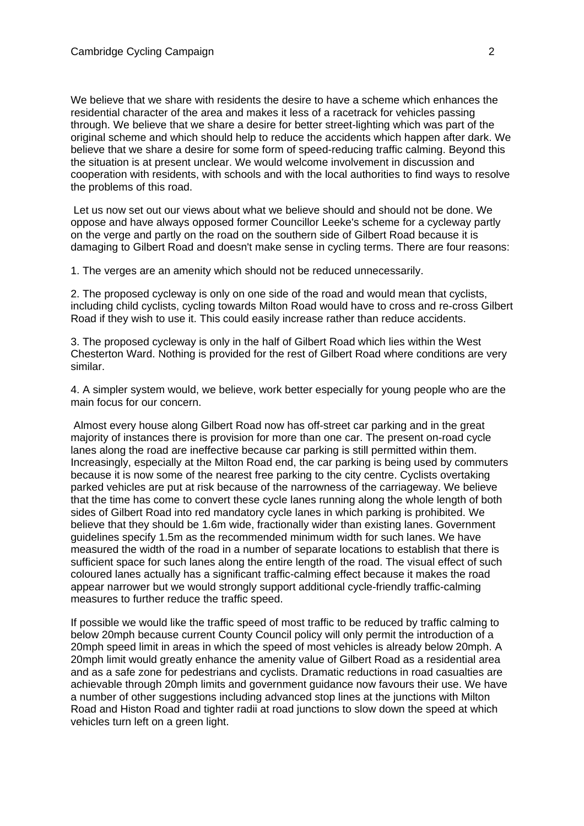We believe that we share with residents the desire to have a scheme which enhances the residential character of the area and makes it less of a racetrack for vehicles passing through. We believe that we share a desire for better street-lighting which was part of the original scheme and which should help to reduce the accidents which happen after dark. We believe that we share a desire for some form of speed-reducing traffic calming. Beyond this the situation is at present unclear. We would welcome involvement in discussion and cooperation with residents, with schools and with the local authorities to find ways to resolve the problems of this road.

 Let us now set out our views about what we believe should and should not be done. We oppose and have always opposed former Councillor Leeke's scheme for a cycleway partly on the verge and partly on the road on the southern side of Gilbert Road because it is damaging to Gilbert Road and doesn't make sense in cycling terms. There are four reasons:

1. The verges are an amenity which should not be reduced unnecessarily.

2. The proposed cycleway is only on one side of the road and would mean that cyclists, including child cyclists, cycling towards Milton Road would have to cross and re-cross Gilbert Road if they wish to use it. This could easily increase rather than reduce accidents.

3. The proposed cycleway is only in the half of Gilbert Road which lies within the West Chesterton Ward. Nothing is provided for the rest of Gilbert Road where conditions are very similar.

4. A simpler system would, we believe, work better especially for young people who are the main focus for our concern.

 Almost every house along Gilbert Road now has off-street car parking and in the great majority of instances there is provision for more than one car. The present on-road cycle lanes along the road are ineffective because car parking is still permitted within them. Increasingly, especially at the Milton Road end, the car parking is being used by commuters because it is now some of the nearest free parking to the city centre. Cyclists overtaking parked vehicles are put at risk because of the narrowness of the carriageway. We believe that the time has come to convert these cycle lanes running along the whole length of both sides of Gilbert Road into red mandatory cycle lanes in which parking is prohibited. We believe that they should be 1.6m wide, fractionally wider than existing lanes. Government guidelines specify 1.5m as the recommended minimum width for such lanes. We have measured the width of the road in a number of separate locations to establish that there is sufficient space for such lanes along the entire length of the road. The visual effect of such coloured lanes actually has a significant traffic-calming effect because it makes the road appear narrower but we would strongly support additional cycle-friendly traffic-calming measures to further reduce the traffic speed.

If possible we would like the traffic speed of most traffic to be reduced by traffic calming to below 20mph because current County Council policy will only permit the introduction of a 20mph speed limit in areas in which the speed of most vehicles is already below 20mph. A 20mph limit would greatly enhance the amenity value of Gilbert Road as a residential area and as a safe zone for pedestrians and cyclists. Dramatic reductions in road casualties are achievable through 20mph limits and government guidance now favours their use. We have a number of other suggestions including advanced stop lines at the junctions with Milton Road and Histon Road and tighter radii at road junctions to slow down the speed at which vehicles turn left on a green light.